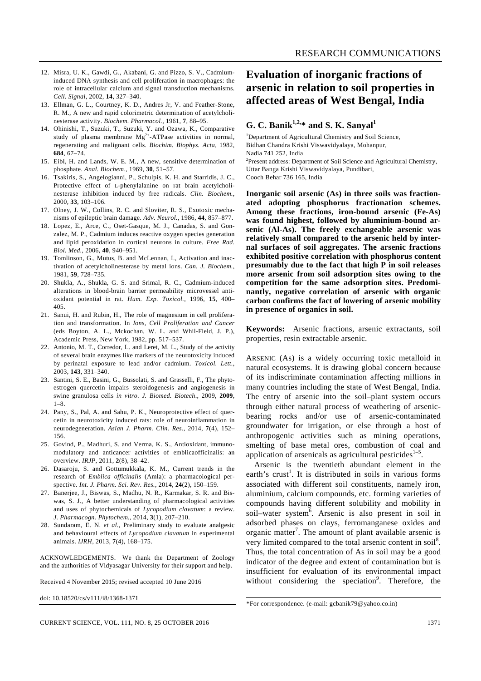- 12. Misra, U. K., Gawdi, G., Akabani, G. and Pizzo, S. V., Cadmiuminduced DNA synthesis and cell proliferation in macrophages: the role of intracellular calcium and signal transduction mechanisms. *Cell. Signal*, 2002, **14**, 327–340.
- 13. Ellman, G. L., Courtney, K. D., Andres Jr, V. and Feather-Stone, R. M., A new and rapid colorimetric determination of acetylcholinesterase activity. *Biochem. Pharmacol.*, 1961, **7**, 88–95.
- 14. Ohinishi, T., Suzuki, T., Suzuki, Y. and Ozawa, K., Comparative study of plasma membrane Mg<sup>2+</sup>-ATPase activities in normal, regenerating and malignant cells. *Biochim. Biophys. Acta*, 1982, **684**, 67–74.
- 15. Eibl, H. and Lands, W. E. M., A new, sensitive determination of phosphate. *Anal. Biochem*., 1969, **30**, 51–57.
- 16. Tsakiris, S., Angelogianni, P., Schulpis, K. H. and Starridis, J. C., Protective effect of L-phenylalanine on rat brain acetylcholinesterase inhibition induced by free radicals. *Clin. Biochem.*, 2000, **33**, 103–106.
- 17. Olney, J. W., Collins, R. C. and Sloviter, R. S., Exotoxic mechanisms of epileptic brain damage. *Adv. Neurol.*, 1986, **44**, 857–877.
- 18. Lopez, E., Arce, C., Oset-Gasque, M. J., Canadas, S. and Gonzalez, M. P., Cadmium induces reactive oxygen species generation and lipid peroxidation in cortical neurons in culture. *Free Rad. Biol. Med.*, 2006, **40**, 940–951.
- 19. Tomlinson, G., Mutus, B. and McLennan, I., Activation and inactivation of acetylcholinesterase by metal ions. *Can. J. Biochem.*, 1981, **59**, 728–735.
- 20. Shukla, A., Shukla, G. S. and Srimal, R. C., Cadmium-induced alterations in blood-brain barrier permeability microvessel antioxidant potential in rat. *Hum. Exp. Toxicol.*, 1996, **15**, 400– 405.
- 21. Sanui, H. and Rubin, H., The role of magnesium in cell proliferation and transformation. In *Ions, Cell Proliferation and Cancer* (eds Boyton, A. L., Mckochan, W. L. and Whil-Field, J. P.), Academic Press, New York, 1982, pp. 517–537.
- 22. Antonio, M. T., Corredor, L. and Leret, M. L., Study of the activity of several brain enzymes like markers of the neurotoxicity induced by perinatal exposure to lead and/or cadmium. *Toxicol. Lett.*, 2003, **143**, 331–340.
- 23. Santini, S. E., Basini, G., Bussolati, S. and Grasselli, F., The phytoestrogen quercetin impairs steroidogenesis and angiogenesis in swine granulosa cells *in vitro*. *J. Biomed. Biotech*., 2009, **2009**, 1–8.
- 24. Pany, S., Pal, A. and Sahu, P. K., Neuroprotective effect of quercetin in neurotoxicity induced rats: role of neuroinflammation in neurodegeneration. *Asian J. Pharm. Clin. Res.*, 2014, **7**(4), 152– 156.
- 25. Govind, P., Madhuri, S. and Verma, K. S., Antioxidant, immunomodulatory and anticancer activities of emblicaofficinalis: an overview. *IRJP*, 2011, **2**(8), 38–42.
- 26. Dasaroju, S. and Gottumukkala, K. M., Current trends in the research of *Emblica officinalis* (Amla): a pharmacological perspective. *Int. J. Pharm. Sci. Rev. Res.*, 2014, **24**(2), 150–159.
- 27. Banerjee, J., Biswas, S., Madhu, N. R., Karmakar, S. R. and Biswas, S. J., A better understanding of pharmacological activities and uses of phytochemicals of *Lycopodium clavatum*: a review. *J. Pharmacogn. Phytochem.*, 2014, **3**(1), 207–210.
- 28. Sundaram, E. N. *et al.*, Preliminary study to evaluate analgesic and behavioural effects of *Lycopodium clavatum* in experimental animals. *IJRH*, 2013, **7**(4), 168–175.

ACKNOWLEDGEMENTS. We thank the Department of Zoology and the authorities of Vidyasagar University for their support and help.

Received 4 November 2015; revised accepted 10 June 2016

doi: 10.18520/cs/v111/i8/1368-1371

# **Evaluation of inorganic fractions of arsenic in relation to soil properties in affected areas of West Bengal, India**

### **G. C. Banik**<sup>1,2,\*</sup> and **S. K. Sanyal**<sup>1</sup>

<sup>1</sup>Department of Agricultural Chemistry and Soil Science, Bidhan Chandra Krishi Viswavidyalaya, Mohanpur, Nadia 741 252, India <sup>2</sup>Present address: Department of Soil Science and Agricultural Chemistry, Uttar Banga Krishi Viswavidyalaya, Pundibari,

Cooch Behar 736 165, India

**Inorganic soil arsenic (As) in three soils was fractionated adopting phosphorus fractionation schemes. Among these fractions, iron-bound arsenic (Fe-As) was found highest, followed by aluminium-bound arsenic (Al-As). The freely exchangeable arsenic was relatively small compared to the arsenic held by internal surfaces of soil aggregates. The arsenic fractions exhibited positive correlation with phosphorus content presumably due to the fact that high P in soil releases more arsenic from soil adsorption sites owing to the competition for the same adsorption sites. Predominantly, negative correlation of arsenic with organic carbon confirms the fact of lowering of arsenic mobility in presence of organics in soil.** 

**Keywords:** Arsenic fractions, arsenic extractants, soil properties, resin extractable arsenic.

ARSENIC (As) is a widely occurring toxic metalloid in natural ecosystems. It is drawing global concern because of its indiscriminate contamination affecting millions in many countries including the state of West Bengal, India. The entry of arsenic into the soil–plant system occurs through either natural process of weathering of arsenicbearing rocks and/or use of arsenic-contaminated groundwater for irrigation, or else through a host of anthropogenic activities such as mining operations, smelting of base metal ores, combustion of coal and application of arsenicals as agricultural pesticides $1-5$ .

 Arsenic is the twentieth abundant element in the earth's crust<sup>1</sup>. It is distributed in soils in various forms associated with different soil constituents, namely iron, aluminium, calcium compounds, etc. forming varieties of compounds having different solubility and mobility in soil-water system<sup>6</sup>. Arsenic is also present in soil in adsorbed phases on clays, ferromanganese oxides and organic matter<sup>7</sup>. The amount of plant available arsenic is very limited compared to the total arsenic content in soil<sup>8</sup>. Thus, the total concentration of As in soil may be a good indicator of the degree and extent of contamination but is insufficient for evaluation of its environmental impact without considering the speciation<sup>9</sup>. Therefore, the

<sup>\*</sup>For correspondence. (e-mail: gcbanik79@yahoo.co.in)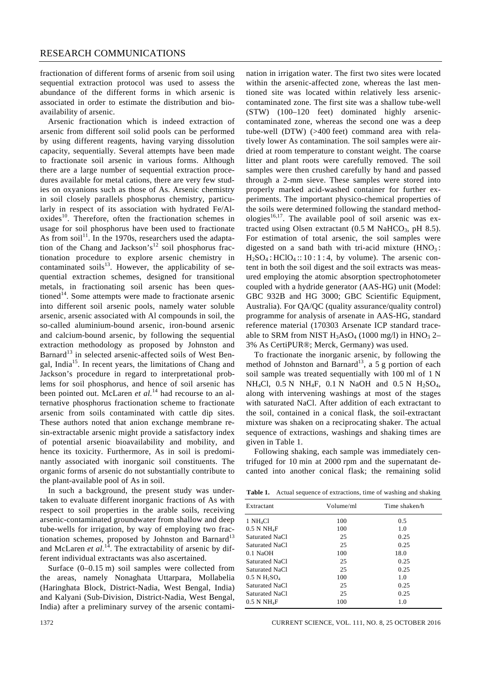fractionation of different forms of arsenic from soil using sequential extraction protocol was used to assess the abundance of the different forms in which arsenic is associated in order to estimate the distribution and bioavailability of arsenic.

 Arsenic fractionation which is indeed extraction of arsenic from different soil solid pools can be performed by using different reagents, having varying dissolution capacity, sequentially. Several attempts have been made to fractionate soil arsenic in various forms. Although there are a large number of sequential extraction procedures available for metal cations, there are very few studies on oxyanions such as those of As. Arsenic chemistry in soil closely parallels phosphorus chemistry, particularly in respect of its association with hydrated Fe/Aloxides<sup>10</sup>. Therefore, often the fractionation schemes in usage for soil phosphorus have been used to fractionate As from soil<sup>11</sup>. In the 1970s, researchers used the adaptation of the Chang and Jackson's<sup>12</sup> soil phosphorus fractionation procedure to explore arsenic chemistry in contaminated soils $^{13}$ . However, the applicability of sequential extraction schemes, designed for transitional metals, in fractionating soil arsenic has been questioned<sup>14</sup>. Some attempts were made to fractionate arsenic into different soil arsenic pools, namely water soluble arsenic, arsenic associated with Al compounds in soil, the so-called aluminium-bound arsenic, iron-bound arsenic and calcium-bound arsenic, by following the sequential extraction methodology as proposed by Johnston and Barnard<sup>13</sup> in selected arsenic-affected soils of West Bengal, India<sup>15</sup>. In recent years, the limitations of Chang and Jackson's procedure in regard to interpretational problems for soil phosphorus, and hence of soil arsenic has been pointed out. McLaren *et al.*<sup>14</sup> had recourse to an alternative phosphorus fractionation scheme to fractionate arsenic from soils contaminated with cattle dip sites. These authors noted that anion exchange membrane resin-extractable arsenic might provide a satisfactory index of potential arsenic bioavailability and mobility, and hence its toxicity. Furthermore, As in soil is predominantly associated with inorganic soil constituents. The organic forms of arsenic do not substantially contribute to the plant-available pool of As in soil.

 In such a background, the present study was undertaken to evaluate different inorganic fractions of As with respect to soil properties in the arable soils, receiving arsenic-contaminated groundwater from shallow and deep tube-wells for irrigation, by way of employing two fractionation schemes, proposed by Johnston and Barnard<sup>13</sup> and McLaren *et al.*<sup>14</sup>. The extractability of arsenic by different individual extractants was also ascertained.

 Surface (0–0.15 m) soil samples were collected from the areas, namely Nonaghata Uttarpara, Mollabelia (Haringhata Block, District-Nadia, West Bengal, India) and Kalyani (Sub-Division, District-Nadia, West Bengal, India) after a preliminary survey of the arsenic contamination in irrigation water. The first two sites were located within the arsenic-affected zone, whereas the last mentioned site was located within relatively less arseniccontaminated zone. The first site was a shallow tube-well (STW) (100–120 feet) dominated highly arseniccontaminated zone, whereas the second one was a deep tube-well (DTW) (>400 feet) command area with relatively lower As contamination. The soil samples were airdried at room temperature to constant weight. The coarse litter and plant roots were carefully removed. The soil samples were then crushed carefully by hand and passed through a 2-mm sieve. These samples were stored into properly marked acid-washed container for further experiments. The important physico-chemical properties of the soils were determined following the standard methodologies<sup>16,17</sup>. The available pool of soil arsenic was extracted using Olsen extractant  $(0.5 M \text{ NaHCO}_3, pH 8.5)$ . For estimation of total arsenic, the soil samples were digested on a sand bath with tri-acid mixture  $(HNO_3)$ :  $H<sub>2</sub>SO<sub>4</sub>$ :  $HClO<sub>4</sub>$ :: 10 : 1 : 4, by volume). The arsenic content in both the soil digest and the soil extracts was measured employing the atomic absorption spectrophotometer coupled with a hydride generator (AAS-HG) unit (Model: GBC 932B and HG 3000; GBC Scientific Equipment, Australia). For QA/QC (quality assurance/quality control) programme for analysis of arsenate in AAS-HG, standard reference material (170303 Arsenate ICP standard traceable to SRM from NIST  $H_3AsO_4$  (1000 mg/l) in  $HNO_3$  2– 3% As CertiPUR®; Merck, Germany) was used.

 To fractionate the inorganic arsenic, by following the method of Johnston and Barnard<sup>13</sup>, a 5 g portion of each soil sample was treated sequentially with 100 ml of 1 N NH<sub>4</sub>Cl,  $0.5 N$  NH<sub>4</sub>F,  $0.1 N$  NaOH and  $0.5 N$  H<sub>2</sub>SO<sub>4</sub>, along with intervening washings at most of the stages with saturated NaCl. After addition of each extractant to the soil, contained in a conical flask, the soil-extractant mixture was shaken on a reciprocating shaker. The actual sequence of extractions, washings and shaking times are given in Table 1.

 Following shaking, each sample was immediately centrifuged for 10 min at 2000 rpm and the supernatant decanted into another conical flask; the remaining solid

|  | Table 1. Actual sequence of extractions, time of washing and shaking |  |  |  |  |
|--|----------------------------------------------------------------------|--|--|--|--|
|--|----------------------------------------------------------------------|--|--|--|--|

| Extractant                             | Volume/ml | Time shaken/h |
|----------------------------------------|-----------|---------------|
| $1$ NH <sub>4</sub> Cl                 | 100       | 0.5           |
| $0.5$ N NH ${}_4$ F                    | 100       | 1.0           |
| Saturated NaCl                         | 25        | 0.25          |
| Saturated NaCl                         | 25        | 0.25          |
| $0.1$ NaOH                             | 100       | 18.0          |
| Saturated NaCl                         | 25        | 0.25          |
| Saturated NaCl                         | 25        | 0.25          |
| $0.5$ N H <sub>2</sub> SO <sub>4</sub> | 100       | 1.0           |
| Saturated NaCl                         | 25        | 0.25          |
| Saturated NaCl                         | 25        | 0.25          |
| $0.5$ N NH <sub>4</sub> F              | 100       | 1.0           |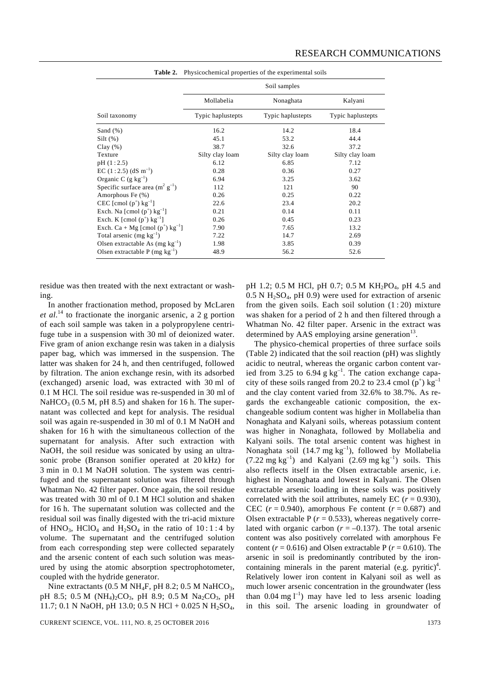|                                                | Soil samples      |                   |                   |  |  |  |
|------------------------------------------------|-------------------|-------------------|-------------------|--|--|--|
|                                                | Mollabelia        | Nonaghata         | Kalyani           |  |  |  |
| Soil taxonomy                                  | Typic haplustepts | Typic haplustepts | Typic haplustepts |  |  |  |
| Sand $(\%)$                                    | 16.2              | 14.2              | 18.4              |  |  |  |
| $Silt(\%)$                                     | 45.1              | 53.2              | 44.4              |  |  |  |
| Clay $(\%)$                                    | 38.7              | 32.6              | 37.2              |  |  |  |
| Texture                                        | Silty clay loam   | Silty clay loam   | Silty clay loam   |  |  |  |
| pH(1:2.5)                                      | 6.12              | 6.85              | 7.12              |  |  |  |
| EC $(1:2.5)$ (dS m <sup>-1</sup> )             | 0.28              | 0.36              | 0.27              |  |  |  |
| Organic C $(g \text{ kg}^{-1})$                | 6.94              | 3.25              | 3.62              |  |  |  |
| Specific surface area $(m^2 g^{-1})$           | 112               | 121               | 90                |  |  |  |
| Amorphous Fe (%)                               | 0.26              | 0.25              | 0.22              |  |  |  |
| CEC [cmol $(p^+)$ kg <sup>-1</sup> ]           | 22.6              | 23.4              | 20.2              |  |  |  |
| Exch. Na [cmol $(p^+)$ kg <sup>-1</sup> ]      | 0.21              | 0.14              | 0.11              |  |  |  |
| Exch. K [cmol $(p^+)$ kg <sup>-1</sup> ]       | 0.26              | 0.45              | 0.23              |  |  |  |
| Exch. Ca + Mg [cmol $(p^+)$ kg <sup>-1</sup> ] | 7.90              | 7.65              | 13.2              |  |  |  |
| Total arsenic (mg $kg^{-1}$ )                  | 7.22              | 14.7              | 2.69              |  |  |  |
| Olsen extractable As $(mg kg^{-1})$            | 1.98              | 3.85              | 0.39              |  |  |  |
| Olsen extractable P (mg $kg^{-1}$ )            | 48.9              | 56.2              | 52.6              |  |  |  |

**Table 2.** Physicochemical properties of the experimental soils

residue was then treated with the next extractant or washing.

 In another fractionation method, proposed by McLaren *et al*. 14 to fractionate the inorganic arsenic, a 2 g portion of each soil sample was taken in a polypropylene centrifuge tube in a suspension with 30 ml of deionized water. Five gram of anion exchange resin was taken in a dialysis paper bag, which was immersed in the suspension. The latter was shaken for 24 h, and then centrifuged, followed by filtration. The anion exchange resin, with its adsorbed (exchanged) arsenic load, was extracted with 30 ml of 0.1 M HCl. The soil residue was re-suspended in 30 ml of NaHCO<sub>3</sub> (0.5 M, pH 8.5) and shaken for 16 h. The supernatant was collected and kept for analysis. The residual soil was again re-suspended in 30 ml of 0.1 M NaOH and shaken for 16 h with the simultaneous collection of the supernatant for analysis. After such extraction with NaOH, the soil residue was sonicated by using an ultrasonic probe (Branson sonifier operated at 20 kHz) for 3 min in 0.1 M NaOH solution. The system was centrifuged and the supernatant solution was filtered through Whatman No. 42 filter paper. Once again, the soil residue was treated with 30 ml of 0.1 M HCl solution and shaken for 16 h. The supernatant solution was collected and the residual soil was finally digested with the tri-acid mixture of  $HNO<sub>3</sub>$ ,  $HClO<sub>4</sub>$  and  $H<sub>2</sub>SO<sub>4</sub>$  in the ratio of 10:1:4 by volume. The supernatant and the centrifuged solution from each corresponding step were collected separately and the arsenic content of each such solution was measured by using the atomic absorption spectrophotometer, coupled with the hydride generator.

Nine extractants (0.5 M NH<sub>4</sub>F, pH 8.2; 0.5 M NaHCO<sub>3</sub>, pH 8.5; 0.5 M (NH<sub>4</sub>)<sub>2</sub>CO<sub>3</sub>, pH 8.9; 0.5 M Na<sub>2</sub>CO<sub>3</sub>, pH 11.7; 0.1 N NaOH, pH 13.0; 0.5 N HCl + 0.025 N H<sub>2</sub>SO<sub>4</sub>, pH 1.2; 0.5 M HCl, pH 0.7; 0.5 M  $KH_2PO_4$ , pH 4.5 and  $0.5$  N H<sub>2</sub>SO<sub>4</sub>, pH 0.9) were used for extraction of arsenic from the given soils. Each soil solution  $(1:20)$  mixture was shaken for a period of 2 h and then filtered through a Whatman No. 42 filter paper. Arsenic in the extract was determined by  $AAS$  employing arsine generation<sup>13</sup>.

 The physico-chemical properties of three surface soils (Table 2) indicated that the soil reaction (pH) was slightly acidic to neutral, whereas the organic carbon content varied from 3.25 to 6.94 g  $kg^{-1}$ . The cation exchange capacity of these soils ranged from 20.2 to 23.4 cmol  $(p^+)$  kg<sup>-1</sup> and the clay content varied from 32.6% to 38.7%. As regards the exchangeable cationic composition, the exchangeable sodium content was higher in Mollabelia than Nonaghata and Kalyani soils, whereas potassium content was higher in Nonaghata, followed by Mollabelia and Kalyani soils. The total arsenic content was highest in Nonaghata soil  $(14.7 \text{ mg kg}^{-1})$ , followed by Mollabelia  $(7.22 \text{ mg kg}^{-1})$  and Kalyani  $(2.69 \text{ mg kg}^{-1})$  soils. This also reflects itself in the Olsen extractable arsenic, i.e. highest in Nonaghata and lowest in Kalyani. The Olsen extractable arsenic loading in these soils was positively correlated with the soil attributes, namely EC  $(r = 0.930)$ , CEC  $(r = 0.940)$ , amorphous Fe content  $(r = 0.687)$  and Olsen extractable  $P(r = 0.533)$ , whereas negatively correlated with organic carbon  $(r = -0.137)$ . The total arsenic content was also positively correlated with amorphous Fe content ( $r = 0.616$ ) and Olsen extractable P ( $r = 0.610$ ). The arsenic in soil is predominantly contributed by the ironcontaining minerals in the parent material (e.g. pyritic)<sup>4</sup>. Relatively lower iron content in Kalyani soil as well as much lower arsenic concentration in the groundwater (less than  $0.04 \text{ mg l}^{-1}$ ) may have led to less arsenic loading in this soil. The arsenic loading in groundwater of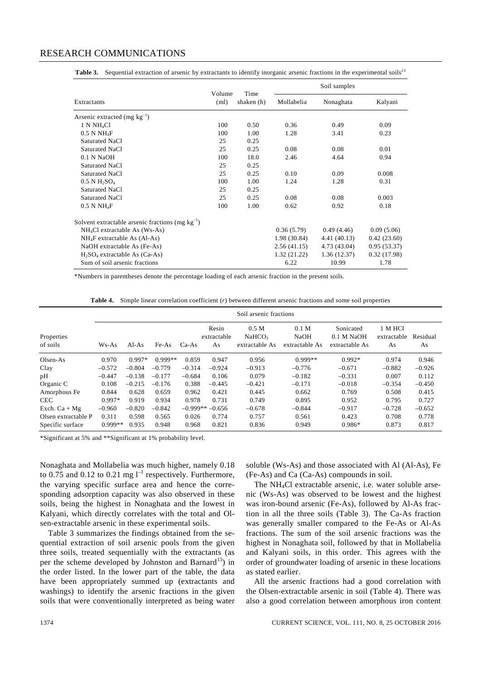#### RESEARCH COMMUNICATIONS

|                                                       |                | Time<br>shaken (h) | Soil samples |              |             |
|-------------------------------------------------------|----------------|--------------------|--------------|--------------|-------------|
| Extractants                                           | Volume<br>(ml) |                    | Mollabelia   | Nonaghata    | Kalyani     |
| Arsenic extracted (mg $kg^{-1}$ )                     |                |                    |              |              |             |
| 1 N NH <sub>4</sub> Cl                                | 100            | 0.50               | 0.36         | 0.49         | 0.09        |
| $0.5$ N NH <sub>4</sub> F                             | 100            | 1.00               | 1.28         | 3.41         | 0.23        |
| Saturated NaCl                                        | 25             | 0.25               |              |              |             |
| Saturated NaCl                                        | 25             | 0.25               | 0.08         | 0.08         | 0.01        |
| 0.1 N NaOH                                            | 100            | 18.0               | 2.46         | 4.64         | 0.94        |
| Saturated NaCl                                        | 25             | 0.25               |              |              |             |
| Saturated NaCl                                        | 25             | 0.25               | 0.10         | 0.09         | 0.008       |
| $0.5$ N H <sub>2</sub> SO <sub>4</sub>                | 100            | 1.00               | 1.24         | 1.28         | 0.31        |
| Saturated NaCl                                        | 25             | 0.25               |              |              |             |
| Saturated NaCl                                        | 25             | 0.25               | 0.08         | 0.08         | 0.003       |
| $0.5$ N NH <sub>4</sub> F                             | 100            | 1.00               | 0.62         | 0.92         | 0.18        |
| Solvent extractable arsenic fractions (mg $kg^{-1}$ ) |                |                    |              |              |             |
| $NH4Cl$ extractable As (Ws-As)                        |                |                    | 0.36(5.79)   | 0.49(4.46)   | 0.09(5.06)  |
| $NH_4F$ extractable As (Al-As)                        |                |                    | 1.98(30.84)  | 4.41 (40.13) | 0.42(23.60) |
| NaOH extractable As (Fe-As)                           |                |                    | 2.56(41.15)  | 4.73 (43.04) | 0.95(53.37) |
| $H_2SO_4$ extractable As (Ca-As)                      |                |                    | 1.32(21.22)  | 1.36(12.37)  | 0.32(17.98) |
| Sum of soil arsenic fractions                         |                |                    | 6.22         | 10.99        | 1.78        |

**Table 3.** Sequential extraction of arsenic by extractants to identify inorganic arsenic fractions in the experimental soils<sup>13</sup>

\*Numbers in parentheses denote the percentage loading of each arsenic fraction in the present soils.

**Table 4.** Simple linear correlation coefficient (*r*) between different arsenic fractions and some soil properties

|                        |           |          |           |          |                            | Soil arsenic fractions                                   |                                                   |                                           |                              |                |
|------------------------|-----------|----------|-----------|----------|----------------------------|----------------------------------------------------------|---------------------------------------------------|-------------------------------------------|------------------------------|----------------|
| Properties<br>of soils | $Ws-As$   | $AI-As$  | Fe-As     | $Ca-As$  | Resin<br>extractable<br>As | 0.5 <sub>M</sub><br>NaHCO <sub>3</sub><br>extractable As | 0.1 <sub>M</sub><br><b>NaOH</b><br>extractable As | Sonicated<br>0.1 M NaOH<br>extractable As | 1 M HCl<br>extractable<br>As | Residual<br>As |
| Olsen-As               | 0.970     | $0.997*$ | $0.999**$ | 0.859    | 0.947                      | 0.956                                                    | $0.999**$                                         | $0.992*$                                  | 0.974                        | 0.946          |
| Clay                   | $-0.572$  | $-0.804$ | $-0.779$  | $-0.314$ | $-0.924$                   | $-0.913$                                                 | $-0.776$                                          | $-0.671$                                  | $-0.882$                     | $-0.926$       |
| pН                     | $-0.447$  | $-0.138$ | $-0.177$  | $-0.684$ | 0.106                      | 0.079                                                    | $-0.182$                                          | $-0.331$                                  | 0.007                        | 0.112          |
| Organic C              | 0.108     | $-0.215$ | $-0.176$  | 0.388    | $-0.445$                   | $-0.421$                                                 | $-0.171$                                          | $-0.018$                                  | $-0.354$                     | $-0.450$       |
| Amorphous Fe           | 0.844     | 0.628    | 0.659     | 0.962    | 0.421                      | 0.445                                                    | 0.662                                             | 0.769                                     | 0.508                        | 0.415          |
| <b>CEC</b>             | $0.997*$  | 0.919    | 0.934     | 0.978    | 0.731                      | 0.749                                                    | 0.895                                             | 0.952                                     | 0.795                        | 0.727          |
| Exch. $Ca + Mg$        | $-0.960$  | $-0.820$ | $-0.842$  |          | $-0.999**-0.656$           | $-0.678$                                                 | $-0.844$                                          | $-0.917$                                  | $-0.728$                     | $-0.652$       |
| Olsen extractable P    | 0.311     | 0.598    | 0.565     | 0.026    | 0.774                      | 0.757                                                    | 0.561                                             | 0.423                                     | 0.708                        | 0.778          |
| Specific surface       | $0.999**$ | 0.935    | 0.948     | 0.968    | 0.821                      | 0.836                                                    | 0.949                                             | $0.986*$                                  | 0.873                        | 0.817          |

\*Significant at 5% and \*\*Significant at 1% probability level.

Nonaghata and Mollabelia was much higher, namely 0.18 to 0.75 and 0.12 to 0.21 mg  $l^{-1}$  respectively. Furthermore, the varying specific surface area and hence the corresponding adsorption capacity was also observed in these soils, being the highest in Nonaghata and the lowest in Kalyani, which directly correlates with the total and Olsen-extractable arsenic in these experimental soils.

 Table 3 summarizes the findings obtained from the sequential extraction of soil arsenic pools from the given three soils, treated sequentially with the extractants (as per the scheme developed by Johnston and Barnard<sup>13</sup>) in the order listed. In the lower part of the table, the data have been appropriately summed up (extractants and washings) to identify the arsenic fractions in the given soils that were conventionally interpreted as being water

soluble (Ws-As) and those associated with Al (Al-As), Fe (Fe-As) and Ca (Ca-As) compounds in soil.

 The NH4Cl extractable arsenic, i.e. water soluble arsenic (Ws-As) was observed to be lowest and the highest was iron-bound arsenic (Fe-As), followed by Al-As fraction in all the three soils (Table 3). The Ca-As fraction was generally smaller compared to the Fe-As or Al-As fractions. The sum of the soil arsenic fractions was the highest in Nonaghata soil, followed by that in Mollabelia and Kalyani soils, in this order. This agrees with the order of groundwater loading of arsenic in these locations as stated earlier.

 All the arsenic fractions had a good correlation with the Olsen-extractable arsenic in soil (Table 4). There was also a good correlation between amorphous iron content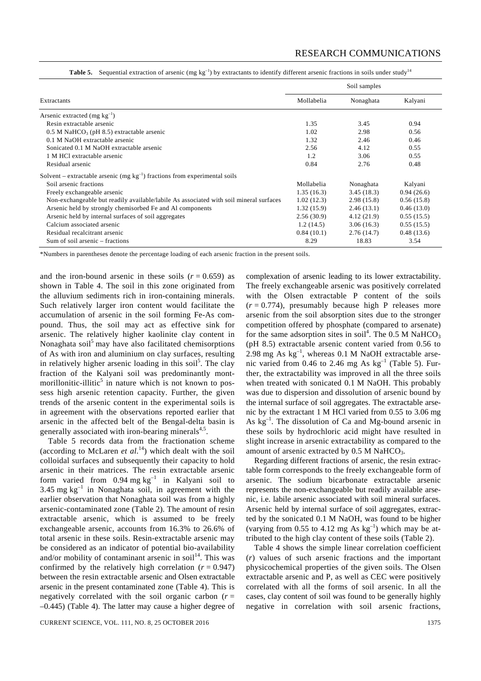|  |  |  |  | Table 5. Sequential extraction of arsenic (mg $kg^{-1}$ ) by extractants to identify different arsenic fractions in soils under study <sup>14</sup> |
|--|--|--|--|-----------------------------------------------------------------------------------------------------------------------------------------------------|
|--|--|--|--|-----------------------------------------------------------------------------------------------------------------------------------------------------|

|                                                                                        |            | Soil samples |            |
|----------------------------------------------------------------------------------------|------------|--------------|------------|
| Extractants                                                                            | Mollabelia | Nonaghata    | Kalyani    |
| Arsenic extracted (mg $kg^{-1}$ )                                                      |            |              |            |
| Resin extractable arsenic                                                              | 1.35       | 3.45         | 0.94       |
| $0.5$ M NaHCO <sub>3</sub> (pH 8.5) extractable arsenic                                | 1.02       | 2.98         | 0.56       |
| 0.1 M NaOH extractable arsenic                                                         | 1.32       | 2.46         | 0.46       |
| Sonicated 0.1 M NaOH extractable arsenic                                               | 2.56       | 4.12         | 0.55       |
| 1 M HCl extractable arsenic                                                            | 1.2        | 3.06         | 0.55       |
| Residual arsenic                                                                       | 0.84       | 2.76         | 0.48       |
| Solvent – extractable arsenic (mg $kg^{-1}$ ) fractions from experimental soils        |            |              |            |
| Soil arsenic fractions                                                                 | Mollabelia | Nonaghata    | Kalyani    |
| Freely exchangeable arsenic                                                            | 1.35(16.3) | 3.45(18.3)   | 0.94(26.6) |
| Non-exchangeable but readily available/labile As associated with soil mineral surfaces | 1.02(12.3) | 2.98(15.8)   | 0.56(15.8) |
| Arsenic held by strongly chemisorbed Fe and Al components                              | 1.32(15.9) | 2.46(13.1)   | 0.46(13.0) |
| Arsenic held by internal surfaces of soil aggregates                                   | 2.56(30.9) | 4.12(21.9)   | 0.55(15.5) |
| Calcium associated arsenic                                                             | 1.2(14.5)  | 3.06(16.3)   | 0.55(15.5) |
| Residual recalcitrant arsenic                                                          | 0.84(10.1) | 2.76(14.7)   | 0.48(13.6) |
| Sum of soil arsenic – fractions                                                        | 8.29       | 18.83        | 3.54       |

\*Numbers in parentheses denote the percentage loading of each arsenic fraction in the present soils.

and the iron-bound arsenic in these soils  $(r = 0.659)$  as shown in Table 4. The soil in this zone originated from the alluvium sediments rich in iron-containing minerals. Such relatively larger iron content would facilitate the accumulation of arsenic in the soil forming Fe-As compound. Thus, the soil may act as effective sink for arsenic. The relatively higher kaolinite clay content in Nonaghata soil<sup>5</sup> may have also facilitated chemisorptions of As with iron and aluminium on clay surfaces, resulting in relatively higher arsenic loading in this soil<sup>5</sup>. The clay fraction of the Kalyani soil was predominantly montmorillonitic-illitic<sup>5</sup> in nature which is not known to possess high arsenic retention capacity. Further, the given trends of the arsenic content in the experimental soils is in agreement with the observations reported earlier that arsenic in the affected belt of the Bengal-delta basin is generally associated with iron-bearing minerals $4.5$ .

 Table 5 records data from the fractionation scheme (according to McLaren *et al.*<sup>14</sup>) which dealt with the soil colloidal surfaces and subsequently their capacity to hold arsenic in their matrices. The resin extractable arsenic form varied from 0.94 mg  $kg^{-1}$  in Kalyani soil to 3.45 mg  $kg^{-1}$  in Nonaghata soil, in agreement with the earlier observation that Nonaghata soil was from a highly arsenic-contaminated zone (Table 2). The amount of resin extractable arsenic, which is assumed to be freely exchangeable arsenic, accounts from 16.3% to 26.6% of total arsenic in these soils. Resin-extractable arsenic may be considered as an indicator of potential bio-availability and/or mobility of contaminant arsenic in soil<sup>14</sup>. This was confirmed by the relatively high correlation  $(r = 0.947)$ between the resin extractable arsenic and Olsen extractable arsenic in the present contaminated zone (Table 4). This is negatively correlated with the soil organic carbon  $(r =$ –0.445) (Table 4). The latter may cause a higher degree of

complexation of arsenic leading to its lower extractability. The freely exchangeable arsenic was positively correlated with the Olsen extractable P content of the soils  $(r = 0.774)$ , presumably because high P releases more arsenic from the soil absorption sites due to the stronger competition offered by phosphate (compared to arsenate) for the same adsorption sites in soil<sup>4</sup>. The 0.5 M NaHCO<sub>3</sub> (pH 8.5) extractable arsenic content varied from 0.56 to 2.98 mg As kg–1, whereas 0.1 M NaOH extractable arsenic varied from 0.46 to 2.46 mg As  $kg^{-1}$  (Table 5). Further, the extractability was improved in all the three soils when treated with sonicated 0.1 M NaOH. This probably was due to dispersion and dissolution of arsenic bound by the internal surface of soil aggregates. The extractable arsenic by the extractant 1 M HCl varied from 0.55 to 3.06 mg As  $kg^{-1}$ . The dissolution of Ca and Mg-bound arsenic in these soils by hydrochloric acid might have resulted in slight increase in arsenic extractability as compared to the amount of arsenic extracted by  $0.5$  M NaHCO<sub>3</sub>.

 Regarding different fractions of arsenic, the resin extractable form corresponds to the freely exchangeable form of arsenic. The sodium bicarbonate extractable arsenic represents the non-exchangeable but readily available arsenic, i.e. labile arsenic associated with soil mineral surfaces. Arsenic held by internal surface of soil aggregates, extracted by the sonicated 0.1 M NaOH, was found to be higher (varying from 0.55 to 4.12 mg As  $kg^{-1}$ ) which may be attributed to the high clay content of these soils (Table 2).

 Table 4 shows the simple linear correlation coefficient (*r*) values of such arsenic fractions and the important physicochemical properties of the given soils. The Olsen extractable arsenic and P, as well as CEC were positively correlated with all the forms of soil arsenic. In all the cases, clay content of soil was found to be generally highly negative in correlation with soil arsenic fractions,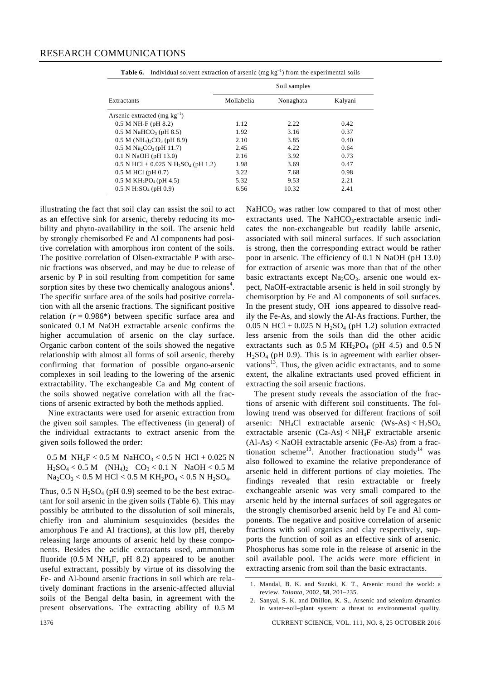|                                                               | Soil samples |           |         |  |  |  |
|---------------------------------------------------------------|--------------|-----------|---------|--|--|--|
| Extractants                                                   | Mollabelia   | Nonaghata | Kalyani |  |  |  |
| Arsenic extracted (mg $kg^{-1}$ )                             |              |           |         |  |  |  |
| $0.5 M NH_4F$ (pH 8.2)                                        | 1.12         | 2.22      | 0.42    |  |  |  |
| $0.5 M$ NaHCO <sub>3</sub> (pH 8.5)                           | 1.92         | 3.16      | 0.37    |  |  |  |
| $0.5 M (NH4)2CO3 (pH 8.9)$                                    | 2.10         | 3.85      | 0.40    |  |  |  |
| $0.5 M Na2CO3$ (pH 11.7)                                      | 2.45         | 4.22      | 0.64    |  |  |  |
| 0.1 N NaOH (pH 13.0)                                          | 2.16         | 3.92      | 0.73    |  |  |  |
| $0.5$ N HCl + 0.025 N H <sub>2</sub> SO <sub>4</sub> (pH 1.2) | 1.98         | 3.69      | 0.47    |  |  |  |
| $0.5$ M HCl (pH $0.7$ )                                       | 3.22         | 7.68      | 0.98    |  |  |  |
| 0.5 M $KH_2PO_4$ (pH 4.5)                                     | 5.32         | 9.53      | 2.21    |  |  |  |
| $0.5$ N H <sub>2</sub> SO <sub>4</sub> (pH 0.9)               | 6.56         | 10.32     | 2.41    |  |  |  |

**Table 6.** Individual solvent extraction of arsenic (mg  $kg^{-1}$ ) from the experimental soils

illustrating the fact that soil clay can assist the soil to act as an effective sink for arsenic, thereby reducing its mobility and phyto-availability in the soil. The arsenic held by strongly chemisorbed Fe and Al components had positive correlation with amorphous iron content of the soils. The positive correlation of Olsen-extractable P with arsenic fractions was observed, and may be due to release of arsenic by P in soil resulting from competition for same sorption sites by these two chemically analogous anions<sup>4</sup>. The specific surface area of the soils had positive correlation with all the arsenic fractions. The significant positive relation  $(r = 0.986*)$  between specific surface area and sonicated 0.1 M NaOH extractable arsenic confirms the higher accumulation of arsenic on the clay surface. Organic carbon content of the soils showed the negative relationship with almost all forms of soil arsenic, thereby confirming that formation of possible organo-arsenic complexes in soil leading to the lowering of the arsenic extractability. The exchangeable Ca and Mg content of the soils showed negative correlation with all the fractions of arsenic extracted by both the methods applied.

 Nine extractants were used for arsenic extraction from the given soil samples. The effectiveness (in general) of the individual extractants to extract arsenic from the given soils followed the order:

 $0.5 M$  NH<sub>4</sub>F < 0.5 M NaHCO<sub>3</sub> < 0.5 N HCl + 0.025 N  $H_2SO_4 < 0.5 M$  (NH<sub>4</sub>)<sub>2</sub> CO<sub>3</sub> < 0.1 N NaOH < 0.5 M  $Na_2CO_3 < 0.5$  M HCl  $< 0.5$  M KH<sub>2</sub>PO<sub>4</sub>  $< 0.5$  N H<sub>2</sub>SO<sub>4</sub>.

Thus,  $0.5$  N H<sub>2</sub>SO<sub>4</sub> (pH 0.9) seemed to be the best extractant for soil arsenic in the given soils (Table 6). This may possibly be attributed to the dissolution of soil minerals, chiefly iron and aluminium sesquioxides (besides the amorphous Fe and Al fractions), at this low pH, thereby releasing large amounts of arsenic held by these components. Besides the acidic extractants used, ammonium fluoride  $(0.5 M NH_4F$ , pH 8.2) appeared to be another useful extractant, possibly by virtue of its dissolving the Fe- and Al-bound arsenic fractions in soil which are relatively dominant fractions in the arsenic-affected alluvial soils of the Bengal delta basin, in agreement with the present observations. The extracting ability of 0.5 M  $NaHCO<sub>3</sub>$  was rather low compared to that of most other extractants used. The NaHCO<sub>3</sub>-extractable arsenic indicates the non-exchangeable but readily labile arsenic, associated with soil mineral surfaces. If such association is strong, then the corresponding extract would be rather poor in arsenic. The efficiency of 0.1 N NaOH (pH 13.0) for extraction of arsenic was more than that of the other basic extractants except  $Na<sub>2</sub>CO<sub>3</sub>$ . arsenic one would expect, NaOH-extractable arsenic is held in soil strongly by chemisorption by Fe and Al components of soil surfaces. In the present study, OH<sup>-</sup> ions appeared to dissolve readily the Fe-As, and slowly the Al-As fractions. Further, the  $0.05$  N HCl +  $0.025$  N H<sub>2</sub>SO<sub>4</sub> (pH 1.2) solution extracted less arsenic from the soils than did the other acidic extractants such as  $0.5 M K H_2PO_4$  (pH 4.5) and  $0.5 N$  $H<sub>2</sub>SO<sub>4</sub>$  (pH 0.9). This is in agreement with earlier observations<sup>13</sup>. Thus, the given acidic extractants, and to some extent, the alkaline extractants used proved efficient in extracting the soil arsenic fractions.

 The present study reveals the association of the fractions of arsenic with different soil constituents. The following trend was observed for different fractions of soil arsenic: NH<sub>4</sub>Cl extractable arsenic  $(Ws-As) < H_2SO_4$ extractable arsenic (Ca-As) < NH4F extractable arsenic (Al-As) < NaOH extractable arsenic (Fe-As) from a fractionation scheme<sup>13</sup>. Another fractionation study<sup>14</sup> was also followed to examine the relative preponderance of arsenic held in different portions of clay moieties. The findings revealed that resin extractable or freely exchangeable arsenic was very small compared to the arsenic held by the internal surfaces of soil aggregates or the strongly chemisorbed arsenic held by Fe and Al components. The negative and positive correlation of arsenic fractions with soil organics and clay respectively, supports the function of soil as an effective sink of arsenic. Phosphorus has some role in the release of arsenic in the soil available pool. The acids were more efficient in extracting arsenic from soil than the basic extractants.

<sup>1.</sup> Mandal, B. K. and Suzuki, K. T., Arsenic round the world: a review. *Talanta*, 2002, **58**, 201–235.

<sup>2.</sup> Sanyal, S. K. and Dhillon, K. S., Arsenic and selenium dynamics in water–soil–plant system: a threat to environmental quality.